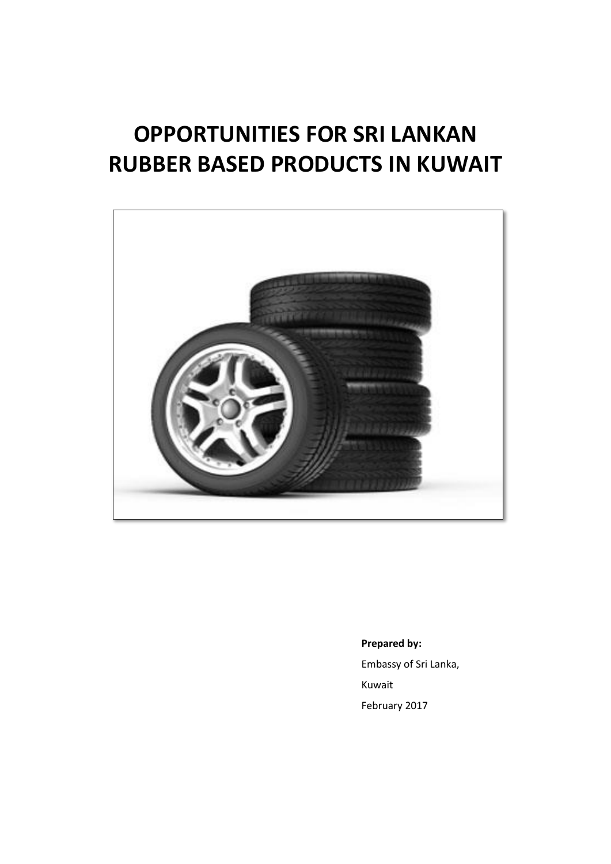# **OPPORTUNITIES FOR SRI LANKAN RUBBER BASED PRODUCTS IN KUWAIT**



**Prepared by:**  Embassy of Sri Lanka, Kuwait February 2017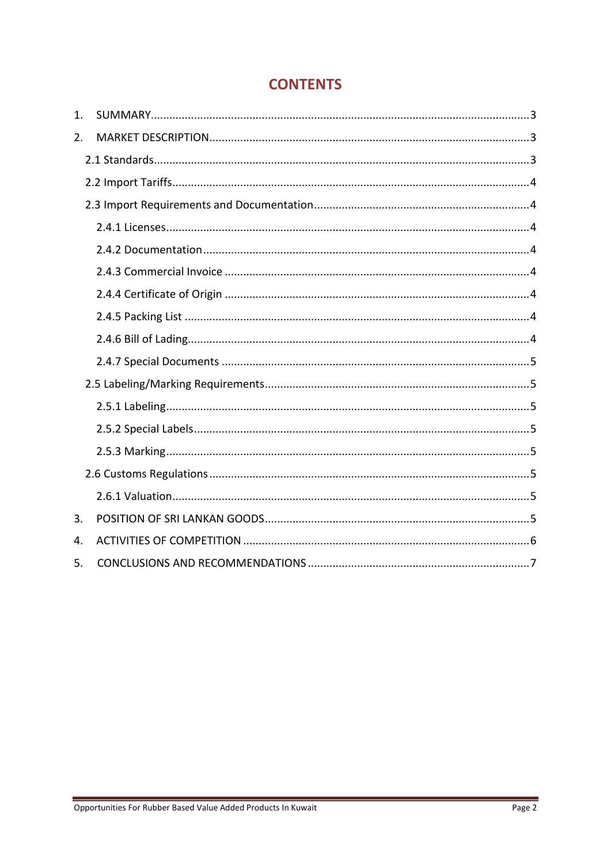# **CONTENTS**

| 1. |  |
|----|--|
| 2. |  |
|    |  |
|    |  |
|    |  |
|    |  |
|    |  |
|    |  |
|    |  |
|    |  |
|    |  |
|    |  |
|    |  |
|    |  |
|    |  |
|    |  |
|    |  |
|    |  |
| 3. |  |
| 4. |  |
| 5. |  |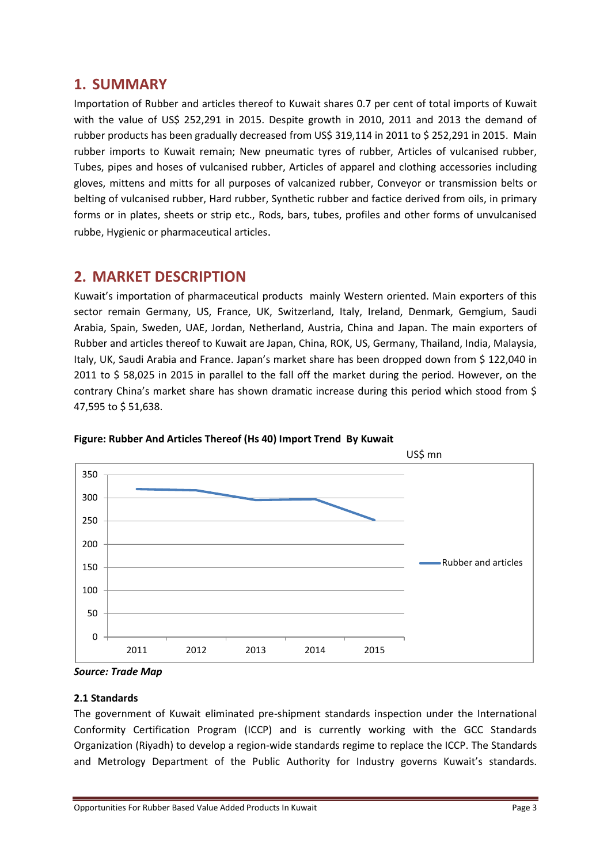### **1. SUMMARY**

Importation of Rubber and articles thereof to Kuwait shares 0.7 per cent of total imports of Kuwait with the value of US\$ 252,291 in 2015. Despite growth in 2010, 2011 and 2013 the demand of rubber products has been gradually decreased from US\$ 319,114 in 2011 to \$ 252,291 in 2015. Main rubber imports to Kuwait remain; New pneumatic tyres of rubber, Articles of vulcanised rubber, Tubes, pipes and hoses of vulcanised rubber, Articles of apparel and clothing accessories including gloves, mittens and mitts for all purposes of valcanized rubber, Conveyor or transmission belts or belting of vulcanised rubber, Hard rubber, Synthetic rubber and factice derived from oils, in primary forms or in plates, sheets or strip etc., Rods, bars, tubes, profiles and other forms of unvulcanised rubbe, Hygienic or pharmaceutical articles.

## **2. MARKET DESCRIPTION**

Kuwait's importation of pharmaceutical products mainly Western oriented. Main exporters of this sector remain Germany, US, France, UK, Switzerland, Italy, Ireland, Denmark, Gemgium, Saudi Arabia, Spain, Sweden, UAE, Jordan, Netherland, Austria, China and Japan. The main exporters of Rubber and articles thereof to Kuwait are Japan, China, ROK, US, Germany, Thailand, India, Malaysia, Italy, UK, Saudi Arabia and France. Japan's market share has been dropped down from \$ 122,040 in 2011 to \$ 58,025 in 2015 in parallel to the fall off the market during the period. However, on the contrary China's market share has shown dramatic increase during this period which stood from \$ 47,595 to \$ 51,638.





#### **2.1 Standards**

The government of Kuwait eliminated pre-shipment standards inspection under the International Conformity Certification Program (ICCP) and is currently working with the GCC Standards Organization (Riyadh) to develop a region-wide standards regime to replace the ICCP. The Standards and Metrology Department of the Public Authority for Industry governs Kuwait's standards.

*Source: Trade Map*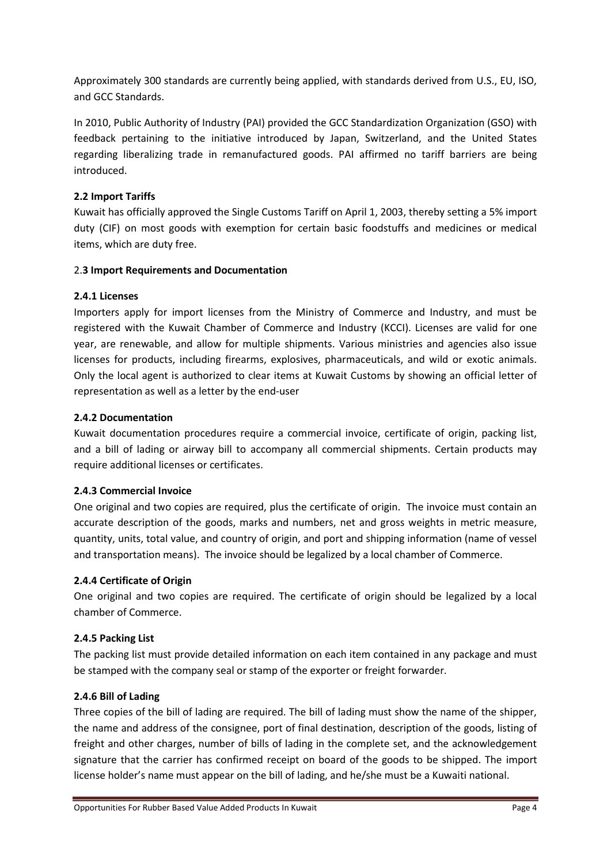Approximately 300 standards are currently being applied, with standards derived from U.S., EU, ISO, and GCC Standards.

In 2010, Public Authority of Industry (PAI) provided the GCC Standardization Organization (GSO) with feedback pertaining to the initiative introduced by Japan, Switzerland, and the United States regarding liberalizing trade in remanufactured goods. PAI affirmed no tariff barriers are being introduced.

#### **2.2 Import Tariffs**

Kuwait has officially approved the Single Customs Tariff on April 1, 2003, thereby setting a 5% import duty (CIF) on most goods with exemption for certain basic foodstuffs and medicines or medical items, which are duty free.

#### 2.**3 Import Requirements and Documentation**

#### **2.4.1 Licenses**

Importers apply for import licenses from the Ministry of Commerce and Industry, and must be registered with the Kuwait Chamber of Commerce and Industry (KCCI). Licenses are valid for one year, are renewable, and allow for multiple shipments. Various ministries and agencies also issue licenses for products, including firearms, explosives, pharmaceuticals, and wild or exotic animals. Only the local agent is authorized to clear items at Kuwait Customs by showing an official letter of representation as well as a letter by the end-user

#### **2.4.2 Documentation**

Kuwait documentation procedures require a commercial invoice, certificate of origin, packing list, and a bill of lading or airway bill to accompany all commercial shipments. Certain products may require additional licenses or certificates.

#### **2.4.3 Commercial Invoice**

One original and two copies are required, plus the certificate of origin. The invoice must contain an accurate description of the goods, marks and numbers, net and gross weights in metric measure, quantity, units, total value, and country of origin, and port and shipping information (name of vessel and transportation means). The invoice should be legalized by a local chamber of Commerce.

#### **2.4.4 Certificate of Origin**

One original and two copies are required. The certificate of origin should be legalized by a local chamber of Commerce.

#### **2.4.5 Packing List**

The packing list must provide detailed information on each item contained in any package and must be stamped with the company seal or stamp of the exporter or freight forwarder.

#### **2.4.6 Bill of Lading**

Three copies of the bill of lading are required. The bill of lading must show the name of the shipper, the name and address of the consignee, port of final destination, description of the goods, listing of freight and other charges, number of bills of lading in the complete set, and the acknowledgement signature that the carrier has confirmed receipt on board of the goods to be shipped. The import license holder's name must appear on the bill of lading, and he/she must be a Kuwaiti national.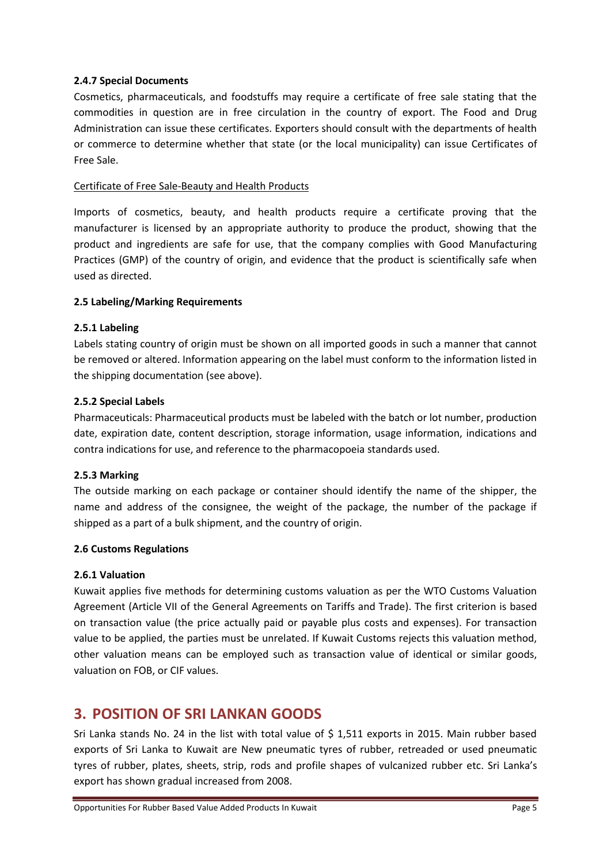#### **2.4.7 Special Documents**

Cosmetics, pharmaceuticals, and foodstuffs may require a certificate of free sale stating that the commodities in question are in free circulation in the country of export. The Food and Drug Administration can issue these certificates. Exporters should consult with the departments of health or commerce to determine whether that state (or the local municipality) can issue Certificates of Free Sale.

#### Certificate of Free Sale-Beauty and Health Products

Imports of cosmetics, beauty, and health products require a certificate proving that the manufacturer is licensed by an appropriate authority to produce the product, showing that the product and ingredients are safe for use, that the company complies with Good Manufacturing Practices (GMP) of the country of origin, and evidence that the product is scientifically safe when used as directed.

#### **2.5 Labeling/Marking Requirements**

#### **2.5.1 Labeling**

Labels stating country of origin must be shown on all imported goods in such a manner that cannot be removed or altered. Information appearing on the label must conform to the information listed in the shipping documentation (see above).

#### **2.5.2 Special Labels**

Pharmaceuticals: Pharmaceutical products must be labeled with the batch or lot number, production date, expiration date, content description, storage information, usage information, indications and contra indications for use, and reference to the pharmacopoeia standards used.

#### **2.5.3 Marking**

The outside marking on each package or container should identify the name of the shipper, the name and address of the consignee, the weight of the package, the number of the package if shipped as a part of a bulk shipment, and the country of origin.

#### **2.6 Customs Regulations**

#### **2.6.1 Valuation**

Kuwait applies five methods for determining customs valuation as per the WTO Customs Valuation Agreement (Article VII of the General Agreements on Tariffs and Trade). The first criterion is based on transaction value (the price actually paid or payable plus costs and expenses). For transaction value to be applied, the parties must be unrelated. If Kuwait Customs rejects this valuation method, other valuation means can be employed such as transaction value of identical or similar goods, valuation on FOB, or CIF values.

## **3. POSITION OF SRI LANKAN GOODS**

Sri Lanka stands No. 24 in the list with total value of \$ 1,511 exports in 2015. Main rubber based exports of Sri Lanka to Kuwait are New pneumatic tyres of rubber, retreaded or used pneumatic tyres of rubber, plates, sheets, strip, rods and profile shapes of vulcanized rubber etc. Sri Lanka's export has shown gradual increased from 2008.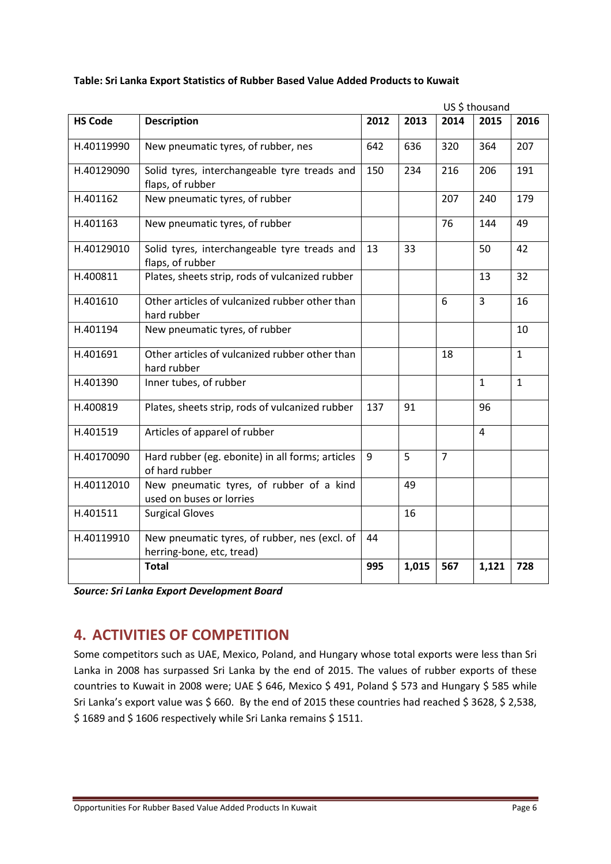|                |                                                                            |      |       |                | US \$ thousand |              |
|----------------|----------------------------------------------------------------------------|------|-------|----------------|----------------|--------------|
| <b>HS Code</b> | <b>Description</b>                                                         | 2012 | 2013  | 2014           | 2015           | 2016         |
| H.40119990     | New pneumatic tyres, of rubber, nes                                        | 642  | 636   | 320            | 364            | 207          |
| H.40129090     | Solid tyres, interchangeable tyre treads and<br>flaps, of rubber           | 150  | 234   | 216            | 206            | 191          |
| H.401162       | New pneumatic tyres, of rubber                                             |      |       | 207            | 240            | 179          |
| H.401163       | New pneumatic tyres, of rubber                                             |      |       | 76             | 144            | 49           |
| H.40129010     | Solid tyres, interchangeable tyre treads and<br>flaps, of rubber           | 13   | 33    |                | 50             | 42           |
| H.400811       | Plates, sheets strip, rods of vulcanized rubber                            |      |       |                | 13             | 32           |
| H.401610       | Other articles of vulcanized rubber other than<br>hard rubber              |      |       | 6              | $\overline{3}$ | 16           |
| H.401194       | New pneumatic tyres, of rubber                                             |      |       |                |                | 10           |
| H.401691       | Other articles of vulcanized rubber other than<br>hard rubber              |      |       | 18             |                | $\mathbf{1}$ |
| H.401390       | Inner tubes, of rubber                                                     |      |       |                | $\mathbf{1}$   | $\mathbf{1}$ |
| H.400819       | Plates, sheets strip, rods of vulcanized rubber                            | 137  | 91    |                | 96             |              |
| H.401519       | Articles of apparel of rubber                                              |      |       |                | 4              |              |
| H.40170090     | Hard rubber (eg. ebonite) in all forms; articles<br>of hard rubber         | 9    | 5     | $\overline{7}$ |                |              |
| H.40112010     | New pneumatic tyres, of rubber of a kind<br>used on buses or lorries       |      | 49    |                |                |              |
| H.401511       | <b>Surgical Gloves</b>                                                     |      | 16    |                |                |              |
| H.40119910     | New pneumatic tyres, of rubber, nes (excl. of<br>herring-bone, etc, tread) | 44   |       |                |                |              |
|                | <b>Total</b>                                                               | 995  | 1,015 | 567            | 1,121          | 728          |

#### **Table: Sri Lanka Export Statistics of Rubber Based Value Added Products to Kuwait**

*Source: Sri Lanka Export Development Board*

# **4. ACTIVITIES OF COMPETITION**

Some competitors such as UAE, Mexico, Poland, and Hungary whose total exports were less than Sri Lanka in 2008 has surpassed Sri Lanka by the end of 2015. The values of rubber exports of these countries to Kuwait in 2008 were; UAE \$ 646, Mexico \$ 491, Poland \$ 573 and Hungary \$ 585 while Sri Lanka's export value was \$ 660. By the end of 2015 these countries had reached \$ 3628, \$ 2,538, \$1689 and \$1606 respectively while Sri Lanka remains \$1511.